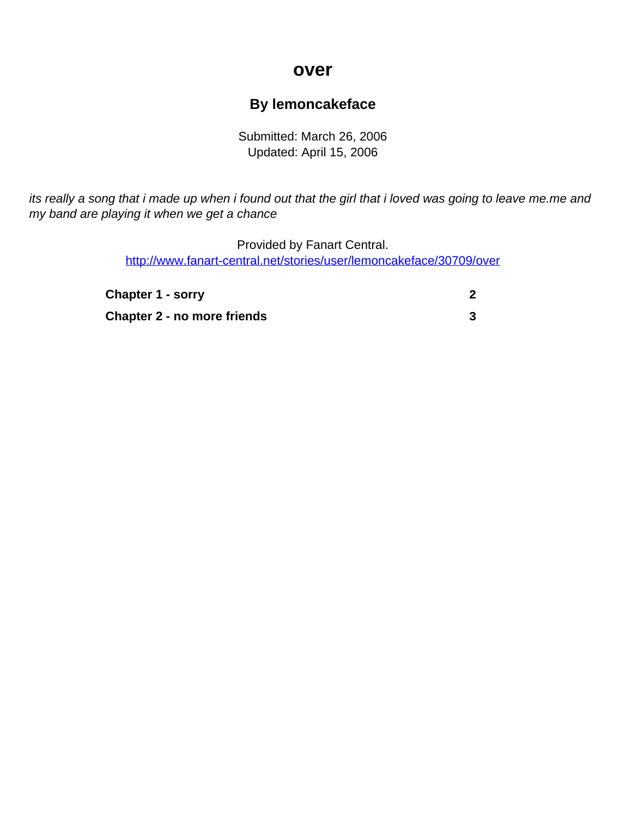### **over**

# **By lemoncakeface**

Submitted: March 26, 2006 Updated: April 15, 2006

<span id="page-0-0"></span>its really a song that i made up when i found out that the girl that i loved was going to leave me.me and my band are playing it when we get a chance

> Provided by Fanart Central. [http://www.fanart-central.net/stories/user/lemoncakeface/30709/over](#page-0-0)

| <b>Chapter 1 - sorry</b>           |  |
|------------------------------------|--|
| <b>Chapter 2 - no more friends</b> |  |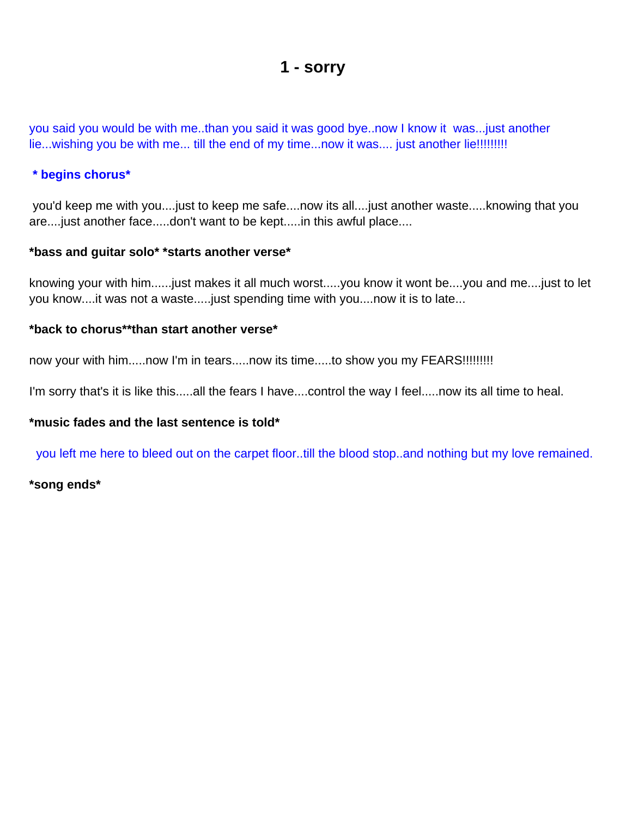### **1 - sorry**

<span id="page-1-0"></span>you said you would be with me..than you said it was good bye..now I know it was...just another lie...wishing you be with me... till the end of my time...now it was.... just another lie!!!!!!!!!!

#### **\* begins chorus\***

you'd keep me with you....just to keep me safe....now its all....just another waste.....knowing that you are....just another face.....don't want to be kept.....in this awful place....

#### **\*bass and guitar solo\* \*starts another verse\***

knowing your with him......just makes it all much worst.....you know it wont be....you and me....just to let you know....it was not a waste.....just spending time with you....now it is to late...

#### **\*back to chorus\*\*than start another verse\***

now your with him.....now I'm in tears.....now its time.....to show you my FEARS!!!!!!!!!!

I'm sorry that's it is like this.....all the fears I have....control the way I feel.....now its all time to heal.

#### **\*music fades and the last sentence is told\***

you left me here to bleed out on the carpet floor..till the blood stop..and nothing but my love remained.

**\*song ends\***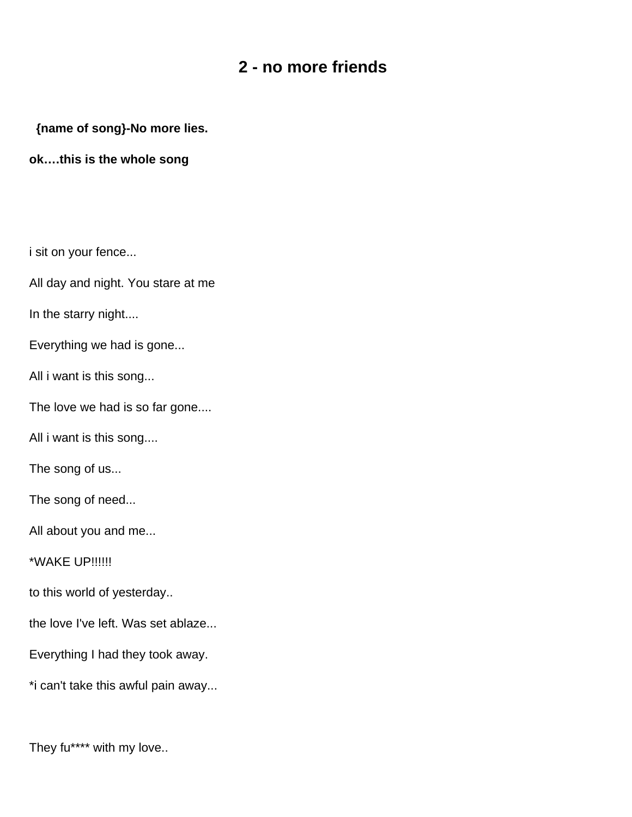## **2 - no more friends**

#### <span id="page-2-0"></span> **{name of song}-No more lies.**

**ok….this is the whole song**

i sit on your fence...

All day and night. You stare at me

In the starry night....

Everything we had is gone...

All i want is this song...

The love we had is so far gone....

All i want is this song....

The song of us...

The song of need...

All about you and me...

\*WAKE UP!!!!!!

to this world of yesterday..

the love I've left. Was set ablaze...

Everything I had they took away.

\*i can't take this awful pain away...

They fu\*\*\*\* with my love..